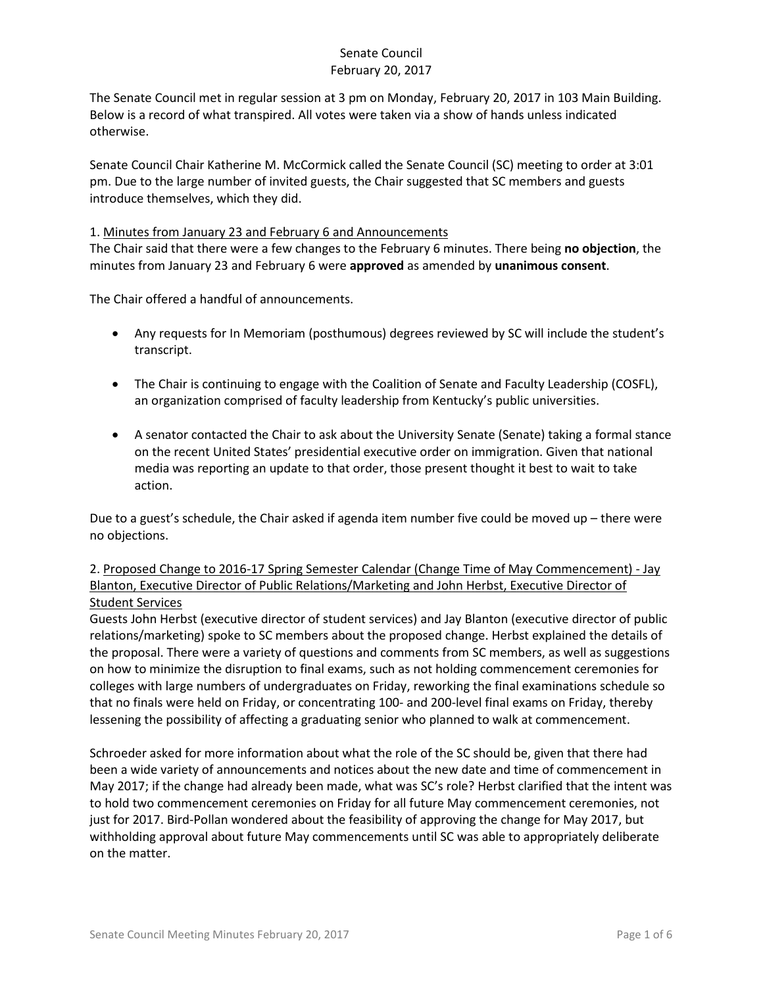The Senate Council met in regular session at 3 pm on Monday, February 20, 2017 in 103 Main Building. Below is a record of what transpired. All votes were taken via a show of hands unless indicated otherwise.

Senate Council Chair Katherine M. McCormick called the Senate Council (SC) meeting to order at 3:01 pm. Due to the large number of invited guests, the Chair suggested that SC members and guests introduce themselves, which they did.

#### 1. Minutes from January 23 and February 6 and Announcements

The Chair said that there were a few changes to the February 6 minutes. There being **no objection**, the minutes from January 23 and February 6 were **approved** as amended by **unanimous consent**.

The Chair offered a handful of announcements.

- Any requests for In Memoriam (posthumous) degrees reviewed by SC will include the student's transcript.
- The Chair is continuing to engage with the Coalition of Senate and Faculty Leadership (COSFL), an organization comprised of faculty leadership from Kentucky's public universities.
- A senator contacted the Chair to ask about the University Senate (Senate) taking a formal stance on the recent United States' presidential executive order on immigration. Given that national media was reporting an update to that order, those present thought it best to wait to take action.

Due to a guest's schedule, the Chair asked if agenda item number five could be moved up – there were no objections.

## 2. Proposed Change to 2016-17 Spring Semester Calendar (Change Time of May Commencement) - Jay Blanton, Executive Director of Public Relations/Marketing and John Herbst, Executive Director of Student Services

Guests John Herbst (executive director of student services) and Jay Blanton (executive director of public relations/marketing) spoke to SC members about the proposed change. Herbst explained the details of the proposal. There were a variety of questions and comments from SC members, as well as suggestions on how to minimize the disruption to final exams, such as not holding commencement ceremonies for colleges with large numbers of undergraduates on Friday, reworking the final examinations schedule so that no finals were held on Friday, or concentrating 100- and 200-level final exams on Friday, thereby lessening the possibility of affecting a graduating senior who planned to walk at commencement.

Schroeder asked for more information about what the role of the SC should be, given that there had been a wide variety of announcements and notices about the new date and time of commencement in May 2017; if the change had already been made, what was SC's role? Herbst clarified that the intent was to hold two commencement ceremonies on Friday for all future May commencement ceremonies, not just for 2017. Bird-Pollan wondered about the feasibility of approving the change for May 2017, but withholding approval about future May commencements until SC was able to appropriately deliberate on the matter.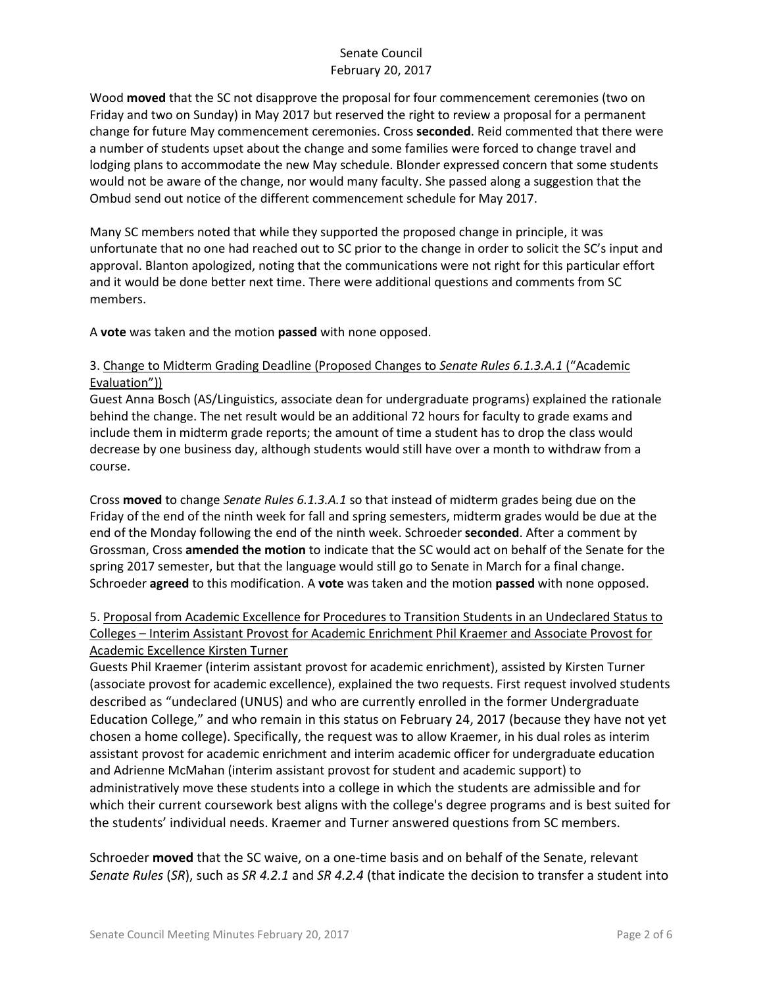Wood **moved** that the SC not disapprove the proposal for four commencement ceremonies (two on Friday and two on Sunday) in May 2017 but reserved the right to review a proposal for a permanent change for future May commencement ceremonies. Cross **seconded**. Reid commented that there were a number of students upset about the change and some families were forced to change travel and lodging plans to accommodate the new May schedule. Blonder expressed concern that some students would not be aware of the change, nor would many faculty. She passed along a suggestion that the Ombud send out notice of the different commencement schedule for May 2017.

Many SC members noted that while they supported the proposed change in principle, it was unfortunate that no one had reached out to SC prior to the change in order to solicit the SC's input and approval. Blanton apologized, noting that the communications were not right for this particular effort and it would be done better next time. There were additional questions and comments from SC members.

A **vote** was taken and the motion **passed** with none opposed.

## 3. Change to Midterm Grading Deadline (Proposed Changes to *Senate Rules 6.1.3.A.1* ("Academic Evaluation"))

Guest Anna Bosch (AS/Linguistics, associate dean for undergraduate programs) explained the rationale behind the change. The net result would be an additional 72 hours for faculty to grade exams and include them in midterm grade reports; the amount of time a student has to drop the class would decrease by one business day, although students would still have over a month to withdraw from a course.

Cross **moved** to change *Senate Rules 6.1.3.A.1* so that instead of midterm grades being due on the Friday of the end of the ninth week for fall and spring semesters, midterm grades would be due at the end of the Monday following the end of the ninth week. Schroeder **seconded**. After a comment by Grossman, Cross **amended the motion** to indicate that the SC would act on behalf of the Senate for the spring 2017 semester, but that the language would still go to Senate in March for a final change. Schroeder **agreed** to this modification. A **vote** was taken and the motion **passed** with none opposed.

## 5. Proposal from Academic Excellence for Procedures to Transition Students in an Undeclared Status to Colleges – Interim Assistant Provost for Academic Enrichment Phil Kraemer and Associate Provost for Academic Excellence Kirsten Turner

Guests Phil Kraemer (interim assistant provost for academic enrichment), assisted by Kirsten Turner (associate provost for academic excellence), explained the two requests. First request involved students described as "undeclared (UNUS) and who are currently enrolled in the former Undergraduate Education College," and who remain in this status on February 24, 2017 (because they have not yet chosen a home college). Specifically, the request was to allow Kraemer, in his dual roles as interim assistant provost for academic enrichment and interim academic officer for undergraduate education and Adrienne McMahan (interim assistant provost for student and academic support) to administratively move these students into a college in which the students are admissible and for which their current coursework best aligns with the college's degree programs and is best suited for the students' individual needs. Kraemer and Turner answered questions from SC members.

Schroeder **moved** that the SC waive, on a one-time basis and on behalf of the Senate, relevant *Senate Rules* (*SR*), such as *SR 4.2.1* and *SR 4.2.4* (that indicate the decision to transfer a student into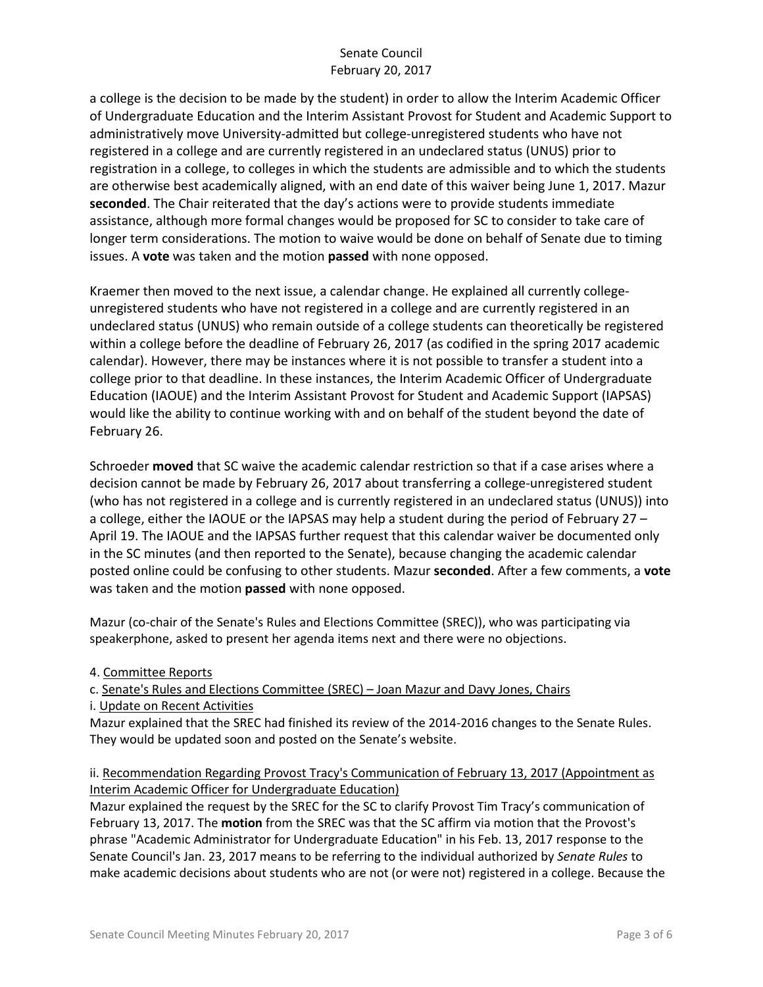a college is the decision to be made by the student) in order to allow the Interim Academic Officer of Undergraduate Education and the Interim Assistant Provost for Student and Academic Support to administratively move University-admitted but college-unregistered students who have not registered in a college and are currently registered in an undeclared status (UNUS) prior to registration in a college, to colleges in which the students are admissible and to which the students are otherwise best academically aligned, with an end date of this waiver being June 1, 2017. Mazur **seconded**. The Chair reiterated that the day's actions were to provide students immediate assistance, although more formal changes would be proposed for SC to consider to take care of longer term considerations. The motion to waive would be done on behalf of Senate due to timing issues. A **vote** was taken and the motion **passed** with none opposed.

Kraemer then moved to the next issue, a calendar change. He explained all currently collegeunregistered students who have not registered in a college and are currently registered in an undeclared status (UNUS) who remain outside of a college students can theoretically be registered within a college before the deadline of February 26, 2017 (as codified in the spring 2017 academic calendar). However, there may be instances where it is not possible to transfer a student into a college prior to that deadline. In these instances, the Interim Academic Officer of Undergraduate Education (IAOUE) and the Interim Assistant Provost for Student and Academic Support (IAPSAS) would like the ability to continue working with and on behalf of the student beyond the date of February 26.

Schroeder **moved** that SC waive the academic calendar restriction so that if a case arises where a decision cannot be made by February 26, 2017 about transferring a college-unregistered student (who has not registered in a college and is currently registered in an undeclared status (UNUS)) into a college, either the IAOUE or the IAPSAS may help a student during the period of February 27 – April 19. The IAOUE and the IAPSAS further request that this calendar waiver be documented only in the SC minutes (and then reported to the Senate), because changing the academic calendar posted online could be confusing to other students. Mazur **seconded**. After a few comments, a **vote** was taken and the motion **passed** with none opposed.

Mazur (co-chair of the Senate's Rules and Elections Committee (SREC)), who was participating via speakerphone, asked to present her agenda items next and there were no objections.

4. Committee Reports

c. Senate's Rules and Elections Committee (SREC) – Joan Mazur and Davy Jones, Chairs i. Update on Recent Activities

Mazur explained that the SREC had finished its review of the 2014-2016 changes to the Senate Rules. They would be updated soon and posted on the Senate's website.

### ii. Recommendation Regarding Provost Tracy's Communication of February 13, 2017 (Appointment as Interim Academic Officer for Undergraduate Education)

Mazur explained the request by the SREC for the SC to clarify Provost Tim Tracy's communication of February 13, 2017. The **motion** from the SREC was that the SC affirm via motion that the Provost's phrase "Academic Administrator for Undergraduate Education" in his Feb. 13, 2017 response to the Senate Council's Jan. 23, 2017 means to be referring to the individual authorized by *Senate Rules* to make academic decisions about students who are not (or were not) registered in a college. Because the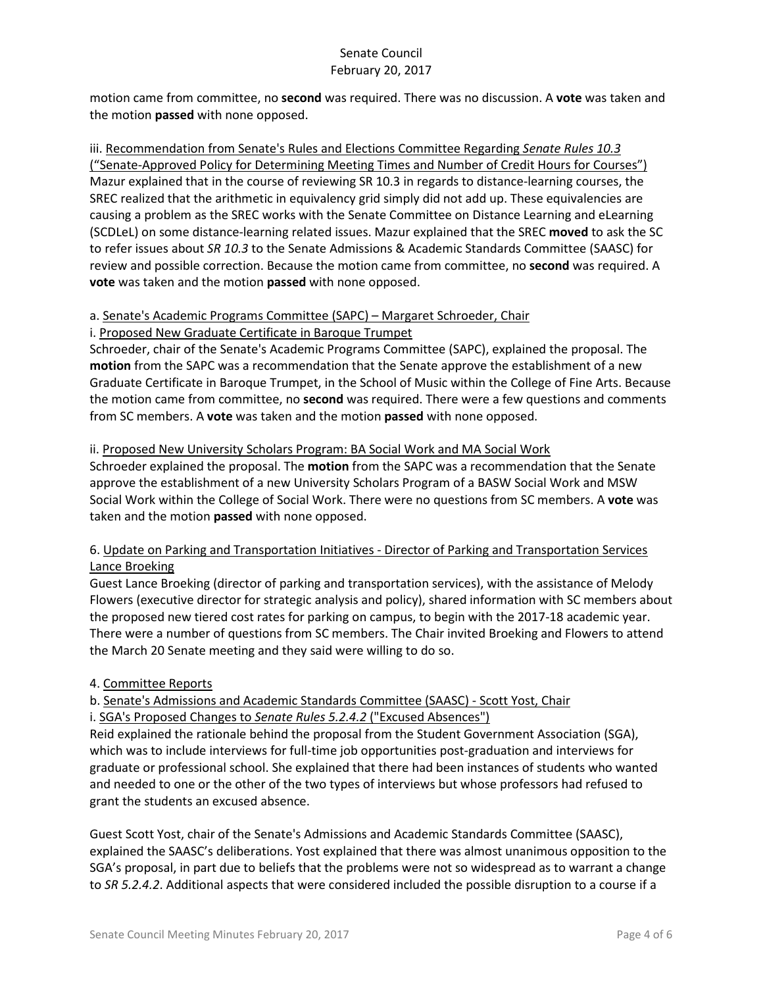motion came from committee, no **second** was required. There was no discussion. A **vote** was taken and the motion **passed** with none opposed.

iii. Recommendation from Senate's Rules and Elections Committee Regarding *Senate Rules 10.3* ("Senate-Approved Policy for Determining Meeting Times and Number of Credit Hours for Courses") Mazur explained that in the course of reviewing SR 10.3 in regards to distance-learning courses, the SREC realized that the arithmetic in equivalency grid simply did not add up. These equivalencies are causing a problem as the SREC works with the Senate Committee on Distance Learning and eLearning (SCDLeL) on some distance-learning related issues. Mazur explained that the SREC **moved** to ask the SC to refer issues about *SR 10.3* to the Senate Admissions & Academic Standards Committee (SAASC) for review and possible correction. Because the motion came from committee, no **second** was required. A **vote** was taken and the motion **passed** with none opposed.

## a. Senate's Academic Programs Committee (SAPC) – Margaret Schroeder, Chair

#### i. Proposed New Graduate Certificate in Baroque Trumpet

Schroeder, chair of the Senate's Academic Programs Committee (SAPC), explained the proposal. The **motion** from the SAPC was a recommendation that the Senate approve the establishment of a new Graduate Certificate in Baroque Trumpet, in the School of Music within the College of Fine Arts. Because the motion came from committee, no **second** was required. There were a few questions and comments from SC members. A **vote** was taken and the motion **passed** with none opposed.

### ii. Proposed New University Scholars Program: BA Social Work and MA Social Work

Schroeder explained the proposal. The **motion** from the SAPC was a recommendation that the Senate approve the establishment of a new University Scholars Program of a BASW Social Work and MSW Social Work within the College of Social Work. There were no questions from SC members. A **vote** was taken and the motion **passed** with none opposed.

## 6. Update on Parking and Transportation Initiatives - Director of Parking and Transportation Services Lance Broeking

Guest Lance Broeking (director of parking and transportation services), with the assistance of Melody Flowers (executive director for strategic analysis and policy), shared information with SC members about the proposed new tiered cost rates for parking on campus, to begin with the 2017-18 academic year. There were a number of questions from SC members. The Chair invited Broeking and Flowers to attend the March 20 Senate meeting and they said were willing to do so.

#### 4. Committee Reports

## b. Senate's Admissions and Academic Standards Committee (SAASC) - Scott Yost, Chair

i. SGA's Proposed Changes to *Senate Rules 5.2.4.2* ("Excused Absences")

Reid explained the rationale behind the proposal from the Student Government Association (SGA), which was to include interviews for full-time job opportunities post-graduation and interviews for graduate or professional school. She explained that there had been instances of students who wanted and needed to one or the other of the two types of interviews but whose professors had refused to grant the students an excused absence.

Guest Scott Yost, chair of the Senate's Admissions and Academic Standards Committee (SAASC), explained the SAASC's deliberations. Yost explained that there was almost unanimous opposition to the SGA's proposal, in part due to beliefs that the problems were not so widespread as to warrant a change to *SR 5.2.4.2*. Additional aspects that were considered included the possible disruption to a course if a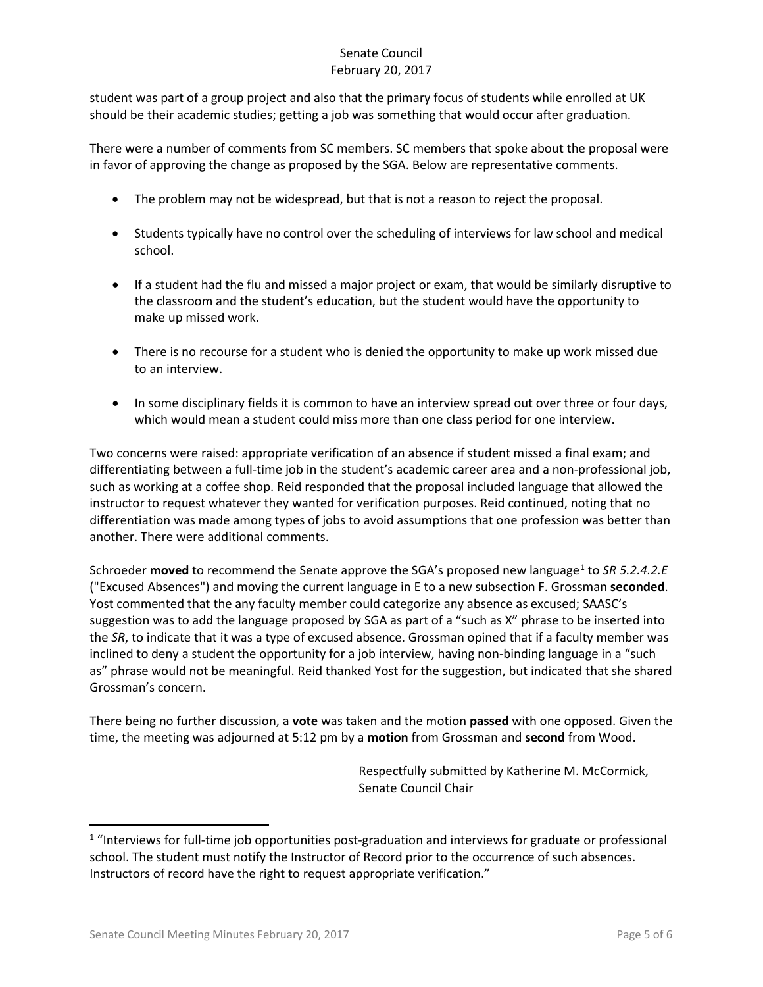student was part of a group project and also that the primary focus of students while enrolled at UK should be their academic studies; getting a job was something that would occur after graduation.

There were a number of comments from SC members. SC members that spoke about the proposal were in favor of approving the change as proposed by the SGA. Below are representative comments.

- The problem may not be widespread, but that is not a reason to reject the proposal.
- Students typically have no control over the scheduling of interviews for law school and medical school.
- If a student had the flu and missed a major project or exam, that would be similarly disruptive to the classroom and the student's education, but the student would have the opportunity to make up missed work.
- There is no recourse for a student who is denied the opportunity to make up work missed due to an interview.
- In some disciplinary fields it is common to have an interview spread out over three or four days, which would mean a student could miss more than one class period for one interview.

Two concerns were raised: appropriate verification of an absence if student missed a final exam; and differentiating between a full-time job in the student's academic career area and a non-professional job, such as working at a coffee shop. Reid responded that the proposal included language that allowed the instructor to request whatever they wanted for verification purposes. Reid continued, noting that no differentiation was made among types of jobs to avoid assumptions that one profession was better than another. There were additional comments.

Schroeder **moved** to recommend the Senate approve the SGA's proposed new language<sup>[1](#page-4-0)</sup> to *SR 5.2.4.2.E* ("Excused Absences") and moving the current language in E to a new subsection F. Grossman **seconded**. Yost commented that the any faculty member could categorize any absence as excused; SAASC's suggestion was to add the language proposed by SGA as part of a "such as X" phrase to be inserted into the *SR*, to indicate that it was a type of excused absence. Grossman opined that if a faculty member was inclined to deny a student the opportunity for a job interview, having non-binding language in a "such as" phrase would not be meaningful. Reid thanked Yost for the suggestion, but indicated that she shared Grossman's concern.

There being no further discussion, a **vote** was taken and the motion **passed** with one opposed. Given the time, the meeting was adjourned at 5:12 pm by a **motion** from Grossman and **second** from Wood.

> Respectfully submitted by Katherine M. McCormick, Senate Council Chair

<span id="page-4-0"></span><sup>&</sup>lt;sup>1</sup> "Interviews for full-time job opportunities post-graduation and interviews for graduate or professional school. The student must notify the Instructor of Record prior to the occurrence of such absences. Instructors of record have the right to request appropriate verification."